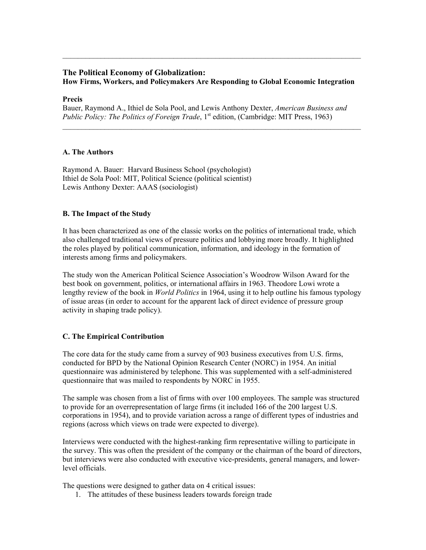# **The Political Economy of Globalization: How Firms, Workers, and Policymakers Are Responding to Global Economic Integration**

#### **Precis**

Bauer, Raymond A., Ithiel de Sola Pool, and Lewis Anthony Dexter, *American Business and Public Policy: The Politics of Foreign Trade*, 1<sup>st</sup> edition, (Cambridge: MIT Press, 1963)

 $\mathcal{L}_\mathcal{L} = \{ \mathcal{L}_\mathcal{L} = \{ \mathcal{L}_\mathcal{L} = \{ \mathcal{L}_\mathcal{L} = \{ \mathcal{L}_\mathcal{L} = \{ \mathcal{L}_\mathcal{L} = \{ \mathcal{L}_\mathcal{L} = \{ \mathcal{L}_\mathcal{L} = \{ \mathcal{L}_\mathcal{L} = \{ \mathcal{L}_\mathcal{L} = \{ \mathcal{L}_\mathcal{L} = \{ \mathcal{L}_\mathcal{L} = \{ \mathcal{L}_\mathcal{L} = \{ \mathcal{L}_\mathcal{L} = \{ \mathcal{L}_\mathcal{$ 

#### **A. The Authors**

Raymond A. Bauer: Harvard Business School (psychologist) Ithiel de Sola Pool: MIT, Political Science (political scientist) Lewis Anthony Dexter: AAAS (sociologist)

## **B. The Impact of the Study**

It has been characterized as one of the classic works on the politics of international trade, which also challenged traditional views of pressure politics and lobbying more broadly. It highlighted the roles played by political communication, information, and ideology in the formation of interests among firms and policymakers.

The study won the American Political Science Association's Woodrow Wilson Award for the best book on government, politics, or international affairs in 1963. Theodore Lowi wrote a lengthy review of the book in *World Politics* in 1964, using it to help outline his famous typology of issue areas (in order to account for the apparent lack of direct evidence of pressure group activity in shaping trade policy).

## **C. The Empirical Contribution**

The core data for the study came from a survey of 903 business executives from U.S. firms, conducted for BPD by the National Opinion Research Center (NORC) in 1954. An initial questionnaire was administered by telephone. This was supplemented with a self-administered questionnaire that was mailed to respondents by NORC in 1955.

The sample was chosen from a list of firms with over 100 employees. The sample was structured to provide for an overrepresentation of large firms (it included 166 of the 200 largest U.S. corporations in 1954), and to provide variation across a range of different types of industries and regions (across which views on trade were expected to diverge).

Interviews were conducted with the highest-ranking firm representative willing to participate in the survey. This was often the president of the company or the chairman of the board of directors, but interviews were also conducted with executive vice-presidents, general managers, and lowerlevel officials.

The questions were designed to gather data on 4 critical issues:

1. The attitudes of these business leaders towards foreign trade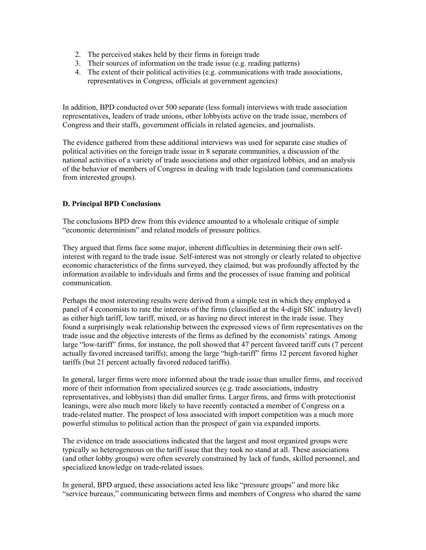- 2. The perceived stakes held by their firms in foreign trade
- 3. Their sources of information on the trade issue (e.g. reading patterns)
- 4. The extent of their political activities (e.g. communications with trade associations, representatives in Congress, officials at government agencies)

In addition, BPD conducted over 500 separate (less formal) interviews with trade association representatives, leaders of trade unions, other lobbyists active on the trade issue, members of Congress and their staffs, government officials in related agencies, and journalists.

The evidence gathered from these additional interviews was used for separate case studies of political activities on the foreign trade issue in 8 separate communities, a discussion of the national activities of a variety of trade associations and other organized lobbies, and an analysis of the behavior of members of Congress in dealing with trade legislation (and communications from interested groups).

# **D. Principal BPD Conclusions**

The conclusions BPD drew from this evidence amounted to a wholesale critique of simple "economic determinism" and related models of pressure politics.

They argued that firms face some major, inherent difficulties in determining their own selfinterest with regard to the trade issue. Self-interest was not strongly or clearly related to objective economic characteristics of the firms surveyed, they claimed, but was profoundly affected by the information available to individuals and firms and the processes of issue framing and political communication.

Perhaps the most interesting results were derived from a simple test in which they employed a panel of 4 economists to rate the interests of the firms (classified at the 4-digit SIC industry level) as either high tariff, low tariff, mixed, or as having no direct interest in the trade issue. They found a surprisingly weak relationship between the expressed views of firm representatives on the trade issue and the objective interests of the firms as defined by the economists' ratings. Among large "low-tariff" firms, for instance, the poll showed that 47 percent favored tariff cuts (7 percent actually favored increased tariffs); among the large "high-tariff" firms 12 percent favored higher tariffs (but 21 percent actually favored reduced tariffs).

In general, larger firms were more informed about the trade issue than smaller firms, and received more of their information from specialized sources (e.g. trade associations, industry representatives, and lobbyists) than did smaller firms. Larger firms, and firms with protectionist leanings, were also much more likely to have recently contacted a member of Congress on a trade-related matter. The prospect of loss associated with import competition was a much more powerful stimulus to political action than the prospect of gain via expanded imports.

The evidence on trade associations indicated that the largest and most organized groups were typically so heterogeneous on the tariff issue that they took no stand at all. These associations (and other lobby groups) were often severely constrained by lack of funds, skilled personnel, and specialized knowledge on trade-related issues.

In general, BPD argued, these associations acted less like "pressure groups" and more like "service bureaus," communicating between firms and members of Congress who shared the same